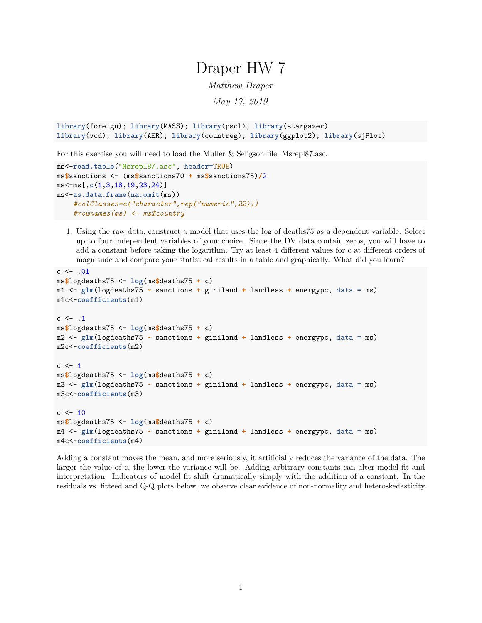# Draper HW 7

*Matthew Draper*

*May 17, 2019*

```
library(foreign); library(MASS); library(pscl); library(stargazer)
library(vcd); library(AER); library(countreg); library(ggplot2); library(sjPlot)
```
For this exercise you will need to load the Muller & Seligson file, Msrepl87.asc.

```
ms<-read.table("Msrepl87.asc", header=TRUE)
ms$sanctions <- (ms$sanctions70 + ms$sanctions75)/2
ms<-ms[,c(1,3,18,19,23,24)]
ms<-as.data.frame(na.omit(ms))
    #colClasses=c("character",rep("numeric",22)))
    #rownames(ms) <- ms$country
```
1. Using the raw data, construct a model that uses the log of deaths75 as a dependent variable. Select up to four independent variables of your choice. Since the DV data contain zeros, you will have to add a constant before taking the logarithm. Try at least 4 different values for c at different orders of magnitude and compare your statistical results in a table and graphically. What did you learn?

```
c < - 01ms$logdeaths75 <- log(ms$deaths75 + c)
m1 <- glm(logdeaths75 ~ sanctions + giniland + landless + energypc, data = ms)
m1c<-coefficients(m1)
c \leftarrow .1ms$logdeaths75 <- log(ms$deaths75 + c)
m2 <- glm(logdeaths75 ~ sanctions + giniland + landless + energypc, data = ms)
m2c<-coefficients(m2)
c \leftarrow 1ms$logdeaths75 <- log(ms$deaths75 + c)
m3 <- glm(logdeaths75 ~ sanctions + giniland + landless + energypc, data = ms)
m3c<-coefficients(m3)
c < -10ms$logdeaths75 <- log(ms$deaths75 + c)
m4 <- glm(logdeaths75 ~ sanctions + giniland + landless + energypc, data = ms)
m4c<-coefficients(m4)
```
Adding a constant moves the mean, and more seriously, it artificially reduces the variance of the data. The larger the value of c, the lower the variance will be. Adding arbitrary constants can alter model fit and interpretation. Indicators of model fit shift dramatically simply with the addition of a constant. In the residuals vs. fitteed and Q-Q plots below, we observe clear evidence of non-normality and heteroskedasticity.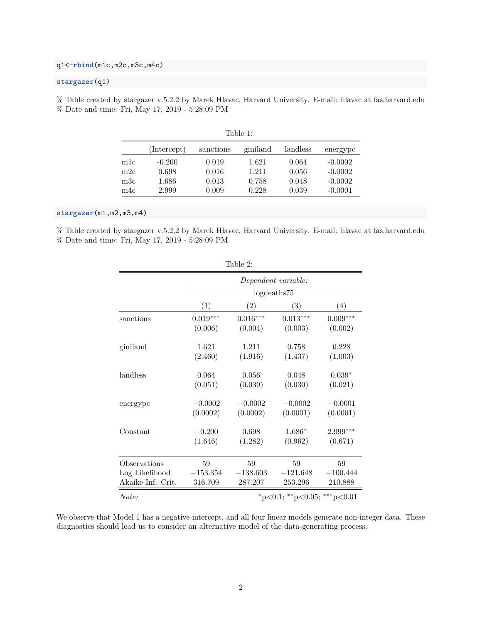### q1<-**rbind**(m1c,m2c,m3c,m4c)

### **stargazer**(q1)

% Table created by stargazer v.5.2.2 by Marek Hlavac, Harvard University. E-mail: hlavac at fas.harvard.edu % Date and time: Fri, May 17, 2019 - 5:28:09 PM

|              | (Intercept) | sanctions | giniland | landless | energypc  |
|--------------|-------------|-----------|----------|----------|-----------|
| m1c          | $-0.200$    | 0.019     | 1.621    | 0.064    | $-0.0002$ |
| m2c          | 0.698       | 0.016     | 1.211    | 0.056    | $-0.0002$ |
| $_{\rm m3c}$ | $1.686\,$   | 0.013     | 0.758    | 0.048    | $-0.0002$ |
| m4c          | 2.999       | $0.009\,$ | 0.228    | 0.039    | $-0.0001$ |

| able |  |
|------|--|
|      |  |
|      |  |

#### **stargazer**(m1,m2,m3,m4)

% Table created by stargazer v.5.2.2 by Marek Hlavac, Harvard University. E-mail: hlavac at fas.harvard.edu % Date and time: Fri, May 17, 2019 - 5:28:09 PM

|                   |                     | Table 2:   |                             |                   |  |
|-------------------|---------------------|------------|-----------------------------|-------------------|--|
|                   | Dependent variable: |            |                             |                   |  |
|                   | logdeaths75         |            |                             |                   |  |
|                   | (1)                 | (2)        | (3)                         | $\left( 4\right)$ |  |
| sanctions         | $0.019***$          | $0.016***$ | $0.013***$                  | $0.009***$        |  |
|                   | (0.006)             | (0.004)    | (0.003)                     | (0.002)           |  |
| giniland          | 1.621               | 1.211      | 0.758                       | 0.228             |  |
|                   | (2.460)             | (1.916)    | (1.437)                     | (1.003)           |  |
| landless          | 0.064               | 0.056      | 0.048                       | $0.039*$          |  |
|                   | (0.051)             | (0.039)    | (0.030)                     | (0.021)           |  |
| energypc          | $-0.0002$           | $-0.0002$  | $-0.0002$                   | $-0.0001$         |  |
|                   | (0.0002)            | (0.0002)   | (0.0001)                    | (0.0001)          |  |
| Constant          | $-0.200$            | 0.698      | 1.686*                      | 2.999***          |  |
|                   | (1.646)             | (1.282)    | (0.962)                     | (0.671)           |  |
| Observations      | 59                  | 59         | 59                          | 59                |  |
| Log Likelihood    | $-153.354$          | $-138.603$ | $-121.648$                  | $-100.444$        |  |
| Akaike Inf. Crit. | 316.709             | 287.207    | 253.296                     | 210.888           |  |
| Note:             |                     |            | *p<0.1; **p<0.05; ***p<0.01 |                   |  |

We observe that Model 1 has a negative intercept, and all four linear models generate non-integer data. These

diagnostics should lead us to consider an alternative model of the data-generating process.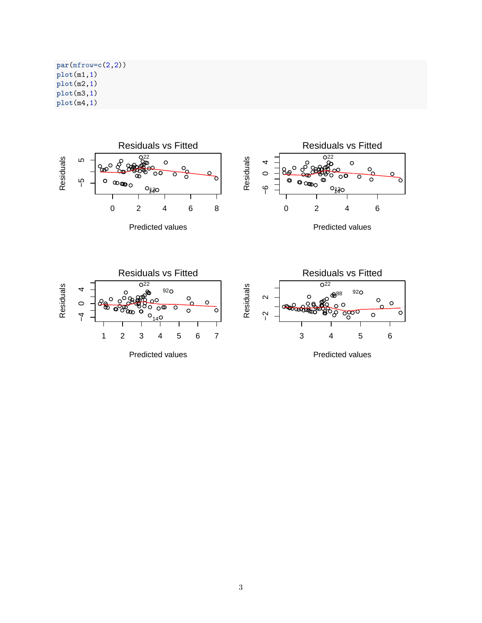**par**(mfrow=**c**(2,2)) **plot**(m1,1) **plot**(m2,1) **plot**(m3,1) **plot**(m4,1)

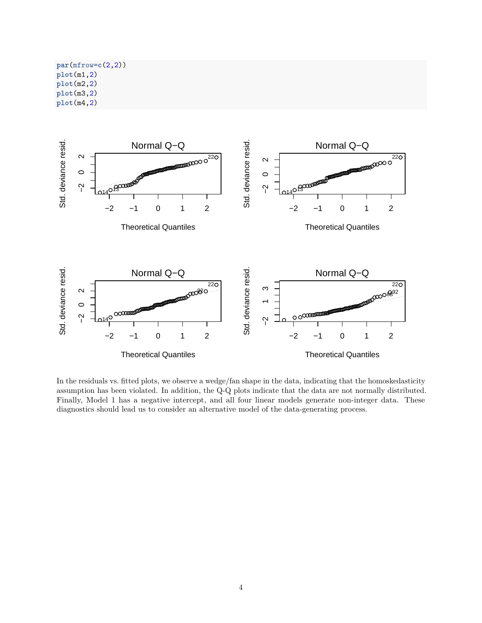**par**(mfrow=**c**(2,2)) **plot**(m1,2) **plot**(m2,2) **plot**(m3,2) **plot**(m4,2)



In the residuals vs. fitted plots, we observe a wedge/fan shape in the data, indicating that the homoskedasticity assumption has been violated. In addition, the Q-Q plots indicate that the data are not normally distributed. Finally, Model 1 has a negative intercept, and all four linear models generate non-integer data. These diagnostics should lead us to consider an alternative model of the data-generating process.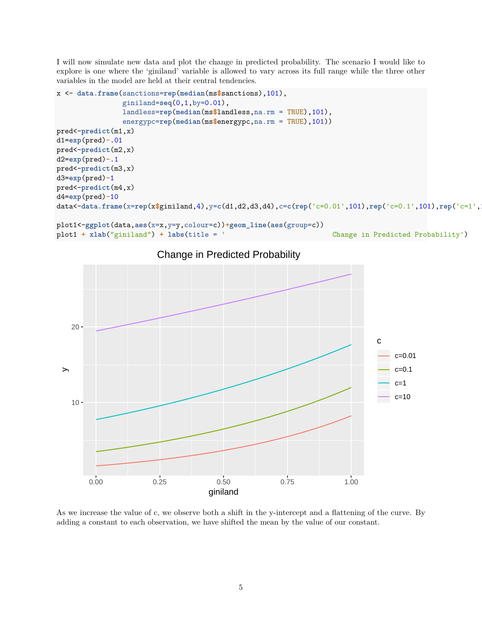I will now simulate new data and plot the change in predicted probability. The scenario I would like to explore is one where the 'giniland' variable is allowed to vary across its full range while the three other variables in the model are held at their central tendencies.

```
x <- data.frame(sanctions=rep(median(ms$sanctions),101),
                 giniland=seq(0,1,by=0.01),
                 landless=rep(median(ms$landless,na.rm = TRUE),101),
                 energypc=rep(median(ms$energypc,na.rm = TRUE),101))
pred<-predict(m1,x)
d1=exp(pred)-.01
pred<-predict(m2,x)
d2=exp(pred)-.1
pred<-predict(m3,x)
d3=exp(pred)-1
pred<-predict(m4,x)
d4=exp(pred)-10
data<-data.frame(x=rep(x$giniland,4),y=c(d1,d2,d3,d4),c=c(rep('c=0.01',101),rep('c=0.1',101),rep('c=1',101),rep('c=10',101)))
```

```
plot1<-ggplot(data,aes(x=x,y=y,colour=c))+geom_line(aes(group=c))
plot1 + xlab("giniland") + labs(title = ' Change in Predicted Probability')
```


Change in Predicted Probability

As we increase the value of c, we observe both a shift in the y-intercept and a flattening of the curve. By adding a constant to each observation, we have shifted the mean by the value of our constant.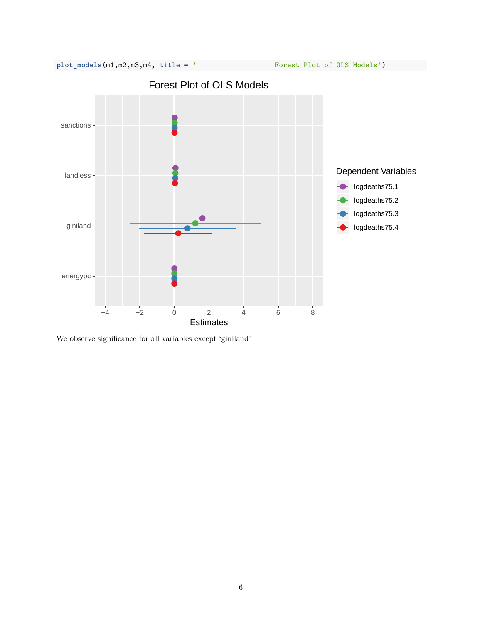

We observe significance for all variables except 'giniland'.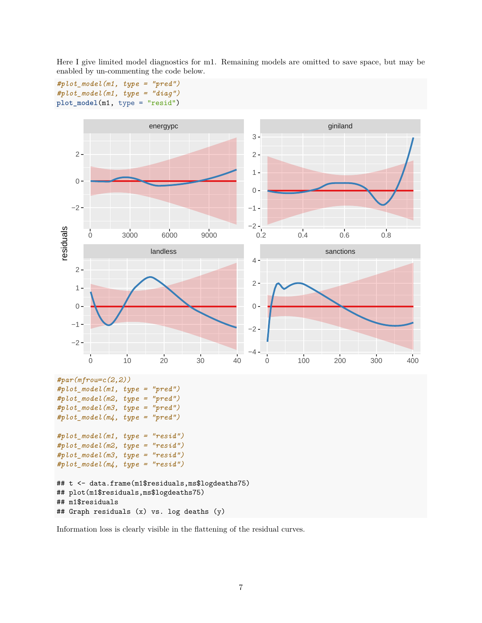

Here I give limited model diagnostics for m1. Remaining models are omitted to save space, but may be enabled by un-commenting the code below.

Information loss is clearly visible in the flattening of the residual curves.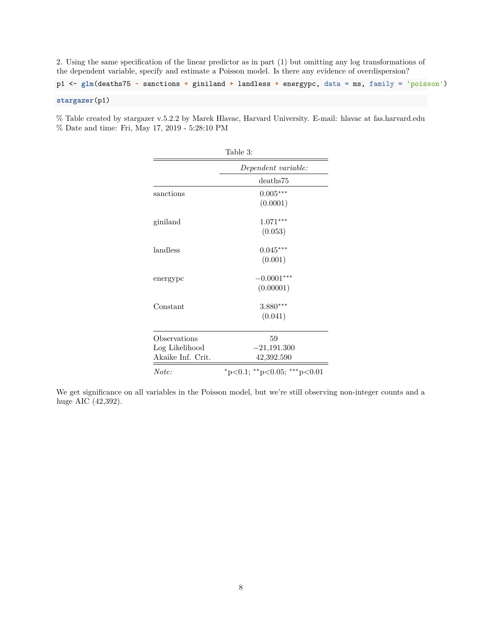2. Using the same specification of the linear predictor as in part (1) but omitting any log transformations of the dependent variable, specify and estimate a Poisson model. Is there any evidence of overdispersion?

p1 <- **glm**(deaths75 **~** sanctions **+** giniland **+** landless **+** energypc, data = ms, family = 'poisson') **stargazer**(p1)

% Table created by stargazer v.5.2.2 by Marek Hlavac, Harvard University. E-mail: hlavac at fas.harvard.edu % Date and time: Fri, May 17, 2019 - 5:28:10 PM

| Table 3:          |                                         |  |  |  |
|-------------------|-----------------------------------------|--|--|--|
|                   | Dependent variable:                     |  |  |  |
|                   | deaths75                                |  |  |  |
| sanctions         | $0.005***$                              |  |  |  |
|                   | (0.0001)                                |  |  |  |
| giniland          | $1.071***$                              |  |  |  |
|                   | (0.053)                                 |  |  |  |
| landless          | $0.045***$                              |  |  |  |
|                   | (0.001)                                 |  |  |  |
| energypc          | $-0.0001***$                            |  |  |  |
|                   | (0.00001)                               |  |  |  |
| Constant          | $3.880***$                              |  |  |  |
|                   | (0.041)                                 |  |  |  |
| Observations      | 59                                      |  |  |  |
| Log Likelihood    | $-21,191.300$                           |  |  |  |
| Akaike Inf. Crit. | 42,392.590                              |  |  |  |
| Note:             | $*_{p<0.1;}$ $*_{p<0.05;}$ $*_{p<0.01}$ |  |  |  |

We get significance on all variables in the Poisson model, but we're still observing non-integer counts and a huge AIC (42,392).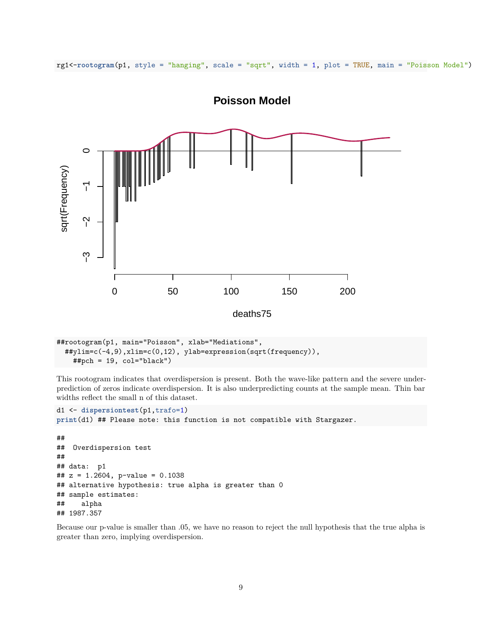

rg1<-**rootogram**(p1, style = "hanging", scale = "sqrt", width = 1, plot = TRUE, main = "Poisson Model")

```
##rootogram(p1, main="Poisson", xlab="Mediations",
  ##ylim=c(-4,9),xlim=c(0,12), ylab=expression(sqrt(frequency)),
   ##pch = 19, col="black")
```
This rootogram indicates that overdispersion is present. Both the wave-like pattern and the severe underprediction of zeros indicate overdispersion. It is also underpredicting counts at the sample mean. Thin bar widths reflect the small n of this dataset.

```
d1 <- dispersiontest(p1,trafo=1)
print(d1) ## Please note: this function is not compatible with Stargazer.
```

```
##
## Overdispersion test
##
## data: p1
## z = 1.2604, p-value = 0.1038
## alternative hypothesis: true alpha is greater than 0
## sample estimates:
## alpha
## 1987.357
```
Because our p-value is smaller than .05, we have no reason to reject the null hypothesis that the true alpha is greater than zero, implying overdispersion.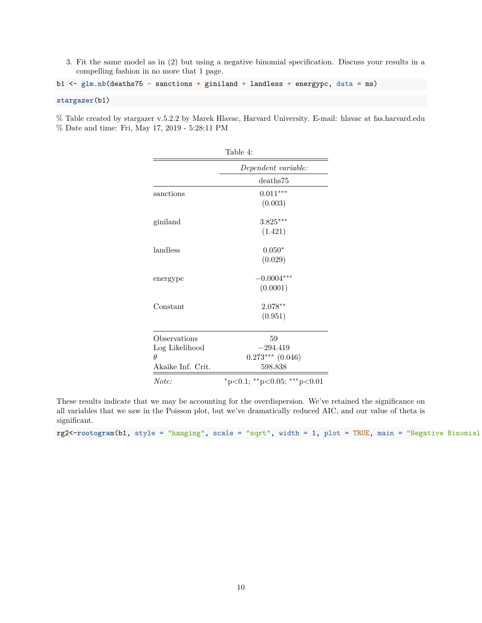3. Fit the same model as in (2) but using a negative binomial specification. Discuss your results in a compelling fashion in no more that 1 page.

```
b1 <- glm.nb(deaths75 ~ sanctions + giniland + landless + energypc, data = ms)
```
#### **stargazer**(b1)

% Table created by stargazer v.5.2.2 by Marek Hlavac, Harvard University. E-mail: hlavac at fas.harvard.edu % Date and time: Fri, May 17, 2019 - 5:28:11 PM

| таріе 4:          |                             |  |  |
|-------------------|-----------------------------|--|--|
|                   | Dependent variable:         |  |  |
|                   | deaths75                    |  |  |
| sanctions         | $0.011***$                  |  |  |
|                   | (0.003)                     |  |  |
| giniland          | $3.825***$                  |  |  |
|                   | (1.421)                     |  |  |
| landless          | $0.050*$                    |  |  |
|                   | (0.029)                     |  |  |
| energypc          | $-0.0004***$                |  |  |
|                   | (0.0001)                    |  |  |
| Constant          | $2.078**$                   |  |  |
|                   | (0.951)                     |  |  |
| Observations      | 59                          |  |  |
| Log Likelihood    | $-294.419$                  |  |  |
| Ĥ                 | $0.273***$ $(0.046)$        |  |  |
| Akaike Inf. Crit. | 598.838                     |  |  |
| Note:             | *p<0.1; **p<0.05; ***p<0.01 |  |  |

Table 4:

These results indicate that we may be accounting for the overdispersion. We've retained the significance on all variables that we saw in the Poisson plot, but we've dramatically reduced AIC, and our value of theta is significant.

rg2<-rootogram(b1, style = "hanging", scale = "sqrt", width = 1, plot = TRUE, main = "Negative Binomial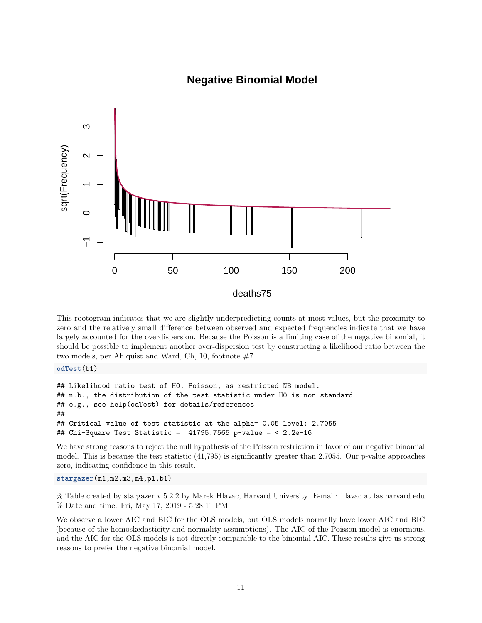

## **Negative Binomial Model**

This rootogram indicates that we are slightly underpredicting counts at most values, but the proximity to zero and the relatively small difference between observed and expected frequencies indicate that we have largely accounted for the overdispersion. Because the Poisson is a limiting case of the negative binomial, it should be possible to implement another over-dispersion test by constructing a likelihood ratio between the two models, per Ahlquist and Ward, Ch, 10, footnote  $#7$ .

**odTest**(b1)

```
## Likelihood ratio test of H0: Poisson, as restricted NB model:
## n.b., the distribution of the test-statistic under H0 is non-standard
## e.g., see help(odTest) for details/references
##
## Critical value of test statistic at the alpha= 0.05 level: 2.7055
## Chi-Square Test Statistic = 41795.7565 p-value = < 2.2e-16
```
We have strong reasons to reject the null hypothesis of the Poisson restriction in favor of our negative binomial model. This is because the test statistic (41,795) is significantly greater than 2.7055. Our p-value approaches zero, indicating confidence in this result.

**stargazer**(m1,m2,m3,m4,p1,b1)

% Table created by stargazer v.5.2.2 by Marek Hlavac, Harvard University. E-mail: hlavac at fas.harvard.edu % Date and time: Fri, May 17, 2019 - 5:28:11 PM

We observe a lower AIC and BIC for the OLS models, but OLS models normally have lower AIC and BIC (because of the homoskedasticity and normality assumptions). The AIC of the Poisson model is enormous, and the AIC for the OLS models is not directly comparable to the binomial AIC. These results give us strong reasons to prefer the negative binomial model.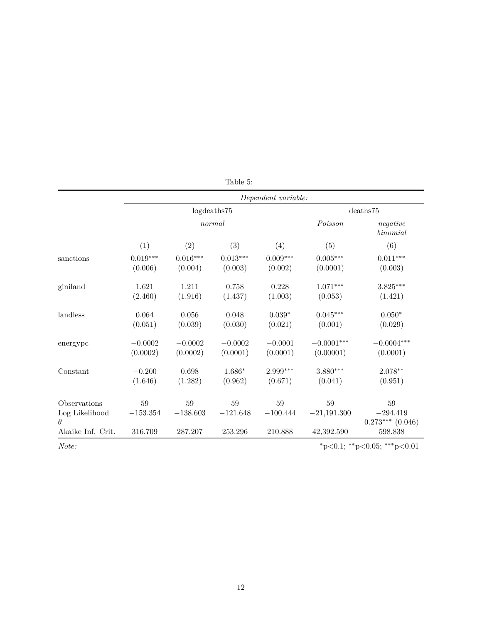|                            | Dependent variable:               |                                   |                           |                            |                           |                                    |
|----------------------------|-----------------------------------|-----------------------------------|---------------------------|----------------------------|---------------------------|------------------------------------|
|                            | log deaths 75                     |                                   |                           | deaths 75                  |                           |                                    |
|                            | normal                            |                                   |                           | Poisson                    | negative<br>binomial      |                                    |
|                            | (1)                               | (2)                               | (3)                       | (4)                        | (5)                       | (6)                                |
| sanctions                  | $0.019^{\ast\ast\ast}$<br>(0.006) | $0.016^{\ast\ast\ast}$<br>(0.004) | $0.013***$<br>(0.003)     | $0.009^{***}\,$<br>(0.002) | $0.005***$<br>(0.0001)    | $0.011^{***}\,$<br>(0.003)         |
| giniland                   | 1.621<br>(2.460)                  | 1.211<br>(1.916)                  | 0.758<br>(1.437)          | 0.228<br>(1.003)           | $1.071***$<br>(0.053)     | $3.825***$<br>(1.421)              |
| landless                   | 0.064<br>(0.051)                  | 0.056<br>(0.039)                  | 0.048<br>(0.030)          | $0.039*$<br>(0.021)        | $0.045***$<br>(0.001)     | $0.050^{\ast}$<br>(0.029)          |
| energypc                   | $-0.0002$<br>(0.0002)             | $-0.0002$<br>(0.0002)             | $-0.0002$<br>(0.0001)     | $-0.0001$<br>(0.0001)      | $-0.0001***$<br>(0.00001) | $-0.0004***$<br>(0.0001)           |
| Constant                   | $-0.200$<br>(1.646)               | 0.698<br>(1.282)                  | $1.686^{\ast}$<br>(0.962) | $2.999***$<br>(0.671)      | $3.880***$<br>(0.041)     | $2.078**$<br>(0.951)               |
| Observations               | 59                                | 59                                | 59                        | 59                         | 59                        | 59                                 |
| Log Likelihood<br>$\theta$ | $-153.354$                        | $-138.603$                        | $-121.648$                | $-100.444$                 | $-21,191.300$             | $-294.419$<br>$0.273***$ $(0.046)$ |
| Akaike Inf. Crit.          | 316.709                           | 287.207                           | 253.296                   | 210.888                    | 42,392.590                | 598.838                            |
| Note:                      |                                   |                                   |                           |                            |                           | *p<0.1; **p<0.05; ***p<0.01        |

|  | Table |  |  |
|--|-------|--|--|
|--|-------|--|--|